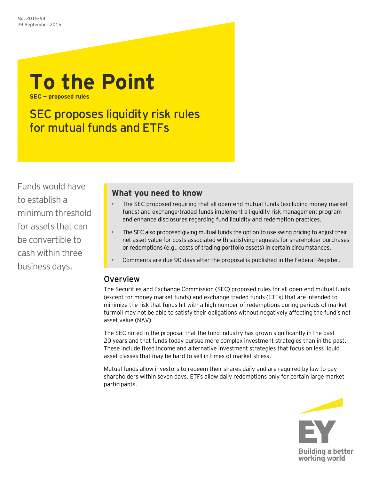# **To the Point**

**SEC — proposed rules**

# SEC proposes liquidity risk rules for mutual funds and ETFs

Funds would have to establish a minimum threshold for assets that can be convertible to cash within three business days.

# **What you need to know**

- The SEC proposed requiring that all open-end mutual funds (excluding money market funds) and exchange-traded funds implement a liquidity risk management program and enhance disclosures regarding fund liquidity and redemption practices.
- The SEC also proposed giving mutual funds the option to use swing pricing to adjust their net asset value for costs associated with satisfying requests for shareholder purchases or redemptions (e.g., costs of trading portfolio assets) in certain circumstances.
- Comments are due 90 days after the proposal is published in the Federal Register.

# Overview

The Securities and Exchange Commission (SEC) proposed rules for all open-end mutual funds (except for money market funds) and exchange-traded funds (ETFs) that are intended to minimize the risk that funds hit with a high number of redemptions during periods of market turmoil may not be able to satisfy their obligations without negatively affecting the fund's net asset value (NAV).

The SEC noted in the proposal that the fund industry has grown significantly in the past 20 years and that funds today pursue more complex investment strategies than in the past. These include fixed income and alternative investment strategies that focus on less liquid asset classes that may be hard to sell in times of market stress.

Mutual funds allow investors to redeem their shares daily and are required by law to pay shareholders within seven days. ETFs allow daily redemptions only for certain large market participants.

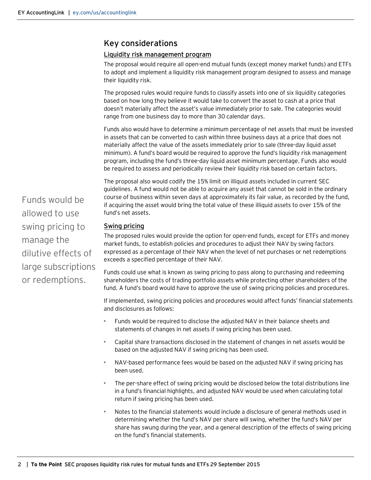## Key considerations

### Liquidity risk management program

The proposal would require all open-end mutual funds (except money market funds) and ETFs to adopt and implement a liquidity risk management program designed to assess and manage their liquidity risk.

The proposed rules would require funds to classify assets into one of six liquidity categories based on how long they believe it would take to convert the asset to cash at a price that doesn't materially affect the asset's value immediately prior to sale. The categories would range from one business day to more than 30 calendar days.

Funds also would have to determine a minimum percentage of net assets that must be invested in assets that can be converted to cash within three business days at a price that does not materially affect the value of the assets immediately prior to sale (three-day liquid asset minimum). A fund's board would be required to approve the fund's liquidity risk management program, including the fund's three-day liquid asset minimum percentage. Funds also would be required to assess and periodically review their liquidity risk based on certain factors.

The proposal also would codify the 15% limit on illiquid assets included in current SEC guidelines. A fund would not be able to acquire any asset that cannot be sold in the ordinary course of business within seven days at approximately its fair value, as recorded by the fund, if acquiring the asset would bring the total value of these illiquid assets to over 15% of the fund's net assets.

#### Swing pricing

The proposed rules would provide the option for open-end funds, except for ETFs and money market funds, to establish policies and procedures to adjust their NAV by swing factors expressed as a percentage of their NAV when the level of net purchases or net redemptions exceeds a specified percentage of their NAV.

Funds could use what is known as swing pricing to pass along to purchasing and redeeming shareholders the costs of trading portfolio assets while protecting other shareholders of the fund. A fund's board would have to approve the use of swing pricing policies and procedures.

If implemented, swing pricing policies and procedures would affect funds' financial statements and disclosures as follows:

- Funds would be required to disclose the adjusted NAV in their balance sheets and statements of changes in net assets if swing pricing has been used.
- Capital share transactions disclosed in the statement of changes in net assets would be based on the adjusted NAV if swing pricing has been used.
- NAV-based performance fees would be based on the adjusted NAV if swing pricing has been used.
- The per-share effect of swing pricing would be disclosed below the total distributions line in a fund's financial highlights, and adjusted NAV would be used when calculating total return if swing pricing has been used.
- Notes to the financial statements would include a disclosure of general methods used in determining whether the fund's NAV per share will swing, whether the fund's NAV per share has swung during the year, and a general description of the effects of swing pricing on the fund's financial statements.

Funds would be allowed to use swing pricing to manage the dilutive effects of large subscriptions or redemptions.